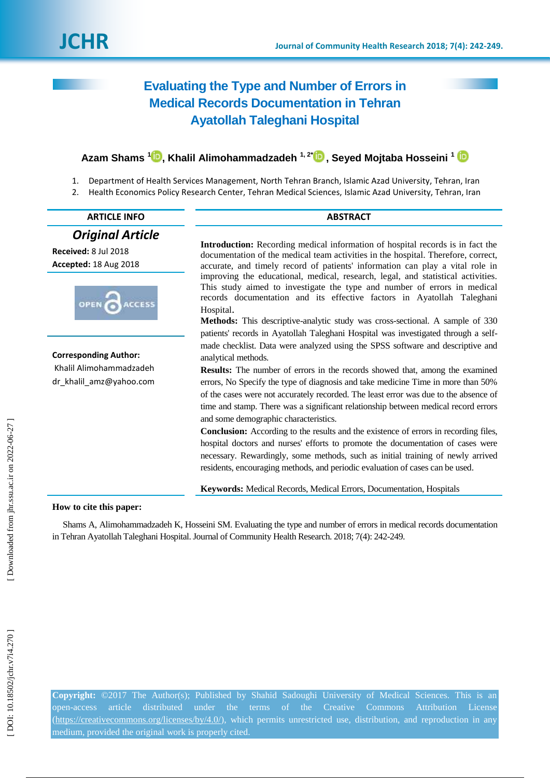# **Evaluating the Type and Number of Errors in Medical Records Documentation in Tehran Ayatollah Taleghani Hospital**

## **Azam Shams 1 [,](https://orcid.org/0000-0001-7777-6614) Khalil Alimohammadzadeh 1, 2[\\*](https://orcid.org/0000-0002-2376-9256) , Seyed Mojtaba Hosseini 1**

- 1. Department of Health Services Management, North Tehran Branch, Islamic Azad University, Tehran, Iran
- 2. Health Economics Policy Research Center, Tehran Medical Sciences, Islamic Azad University, Tehran, Iran

| <b>ARTICLE INFO</b>                                | <b>ABSTRACT</b>                                                                                                                                                                                                                                                                                                                                                                                |  |  |  |  |  |  |  |
|----------------------------------------------------|------------------------------------------------------------------------------------------------------------------------------------------------------------------------------------------------------------------------------------------------------------------------------------------------------------------------------------------------------------------------------------------------|--|--|--|--|--|--|--|
| <b>Original Article</b>                            |                                                                                                                                                                                                                                                                                                                                                                                                |  |  |  |  |  |  |  |
| Received: 8 Jul 2018<br>Accepted: 18 Aug 2018      | Introduction: Recording medical information of hospital records is in fact the<br>documentation of the medical team activities in the hospital. Therefore, correct,<br>accurate, and timely record of patients' information can play a vital role in                                                                                                                                           |  |  |  |  |  |  |  |
| OPEN<br><b>ACCESS</b>                              | improving the educational, medical, research, legal, and statistical activities.<br>This study aimed to investigate the type and number of errors in medical<br>records documentation and its effective factors in Ayatollah Taleghani<br>Hospital.                                                                                                                                            |  |  |  |  |  |  |  |
|                                                    | Methods: This descriptive-analytic study was cross-sectional. A sample of 330<br>patients' records in Ayatollah Taleghani Hospital was investigated through a self-                                                                                                                                                                                                                            |  |  |  |  |  |  |  |
| <b>Corresponding Author:</b>                       | made checklist. Data were analyzed using the SPSS software and descriptive and<br>analytical methods.                                                                                                                                                                                                                                                                                          |  |  |  |  |  |  |  |
| Khalil Alimohammadzadeh<br>dr_khalil_amz@yahoo.com | <b>Results:</b> The number of errors in the records showed that, among the examined<br>errors, No Specify the type of diagnosis and take medicine Time in more than 50%<br>of the cases were not accurately recorded. The least error was due to the absence of<br>time and stamp. There was a significant relationship between medical record errors<br>and some demographic characteristics. |  |  |  |  |  |  |  |
|                                                    | <b>Conclusion:</b> According to the results and the existence of errors in recording files,<br>hospital doctors and nurses' efforts to promote the documentation of cases were<br>necessary. Rewardingly, some methods, such as initial training of newly arrived<br>residents, encouraging methods, and periodic evaluation of cases can be used.                                             |  |  |  |  |  |  |  |
|                                                    | Keywords: Medical Records, Medical Errors, Documentation, Hospitals                                                                                                                                                                                                                                                                                                                            |  |  |  |  |  |  |  |
| How to cite this paper:                            |                                                                                                                                                                                                                                                                                                                                                                                                |  |  |  |  |  |  |  |

### **How to cite this paper:**

Shams A, Alimohammadzadeh K, Hosseini SM. Evaluating the type and number of errors in medical records documentation in Tehran Ayatollah Taleghani Hospital. Journal of Community Health Research. 2018; 7(4): 242 - 249 .

**Copyright:** ©2017 The Author(s); Published by Shahid Sadoughi University of Medical Sciences. This is an open -access article distributed under the terms of the Creative Commons Attribution License [\(https://creativecommons.org/licenses/by/4.0/\)](https://creativecommons.org/licenses/by/4.0/), which permits unrestricted use, distribution, and reproduction in any medium, provided the original work is properly cited.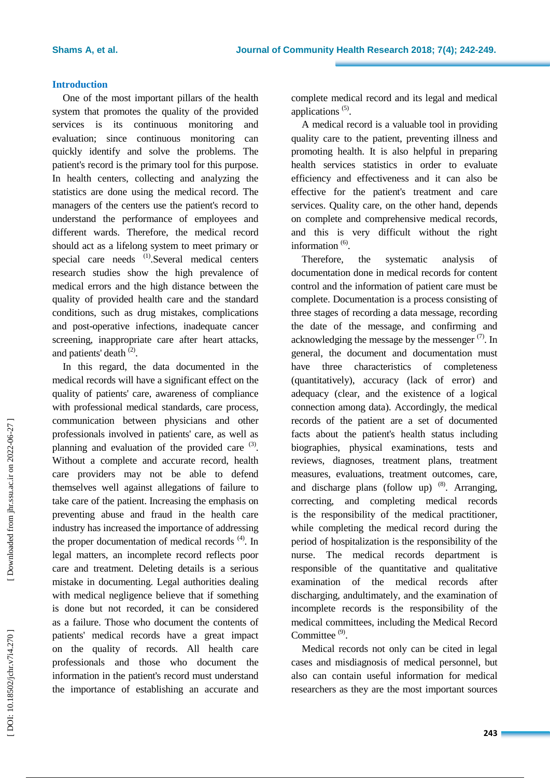### **Introduction**

One of the most important pillars of the health system that promotes the quality of the provided services is its continuous monitoring and evaluation; since continuous monitoring can quickly identify and solve the problems. The patient's record is the primary tool for this purpose. In health centers, collecting and analyzing the statistics are done using the medical record. The managers of the centers use the patient's record to understand the performance of employees and different wards. Therefore, the medical record should act as a lifelong system to meet primary or special care needs <sup>(1)</sup>.Several medical centers research studies show the high prevalence of medical errors and the high distance between the quality of provided health care and the standard conditions, such as drug mistakes, complications and post -operative infections, inadequate cancer screening, inappropriate care after heart attacks, and patients' death <sup>(2)</sup>.

In this regard, the data documented in the medical records will have a significant effect on the quality of patients' care, awareness of compliance with professional medical standards, care process, communication between physicians and other professionals involved in patients' care, as well as planning and evaluation of the provided care  $(3)$ . Without a complete and accurate record, health care providers may not be able to defend themselves well against allegations of failure to take care of the patient. Increasing the emphasis on preventing abuse and fraud in the health care industry has increased the importance of addressing the proper documentation of medical records  $(4)$ . In legal matters, an incomplete record reflects poor care and treatment. Deleting details is a serious mistake in documenting. Legal authorities dealing with medical negligence believe that if something is done but not recorded, it can be considered as a failure. Those who document the contents of patients' medical records have a great impact on the quality of records. All health care professionals and those who document the information in the patient's record must understand the importance of establishing an accurate and complete medical record and its legal and medical applications (5) .

A medical record is a valuable tool in providing quality care to the patient, preventing illness and promoting health. It is also helpful in preparing health services statistics in order to evaluate efficiency and effectiveness and it can also be effective for the patient's treatment and care services. Quality care, on the other hand, depends on complete and comprehensive medical records, and this is very difficult without the right information<sup>(6)</sup>.

Therefore, the systematic analysis of documentation done in medical records for content control and the information of patient care must be complete. Documentation is a process consisting of three stages of recording a data message, recording the date of the message, and confirming and acknowledging the message by the messenger  $(7)$ . In general, the document and documentation must have three characteristics of completeness (quantitatively), accuracy (lack of error) and adequacy (clear, and the existence of a logical connection among data). Accordingly, the medical records of the patient are a set of documented facts about the patient's health status including biographies, physical examinations, tests and reviews, diagnoses, treatment plans, treatment measures, evaluations, treatment outcomes, care, and discharge plans (follow up)  $(8)$ . Arranging, correcting, and completing medical records is the responsibility of the medical practitioner, while completing the medical record during the period of hospitalization is the responsibility of the nurse. The medical records department is responsible of the quantitative and qualitative examination of the medical records after discharging, andultimately, and the examination of incomplete records is the responsibility of the medical committees, including the Medical Record Committee<sup>(9)</sup>.

Medical records not only can be cited in legal cases and misdiagnosis of medical personnel, but also can contain useful information for medical researchers as they are the most important sources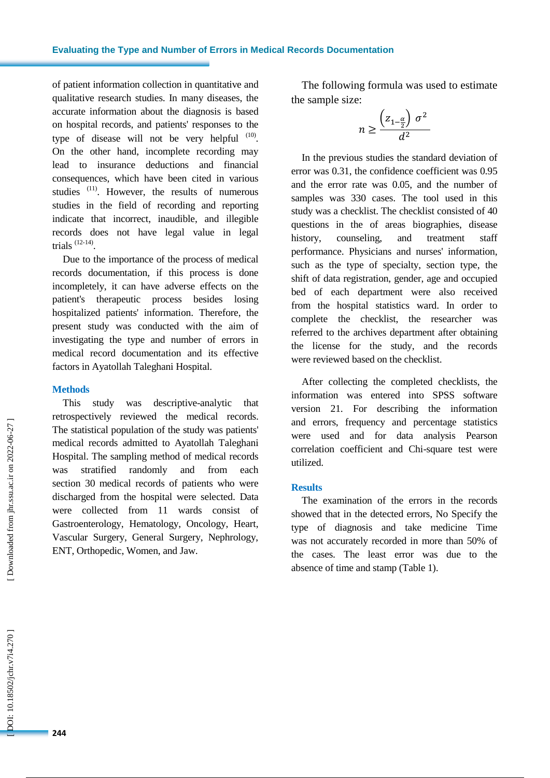of patient information collection in quantitative and qualitative research studies. In many diseases, the accurate information about the diagnosis is based on hospital records, and patients' responses to the type of disease will not be very helpful  $(10)$ . On the other hand, incomplete recording may lead to insurance deductions and financial consequences, which have been cited in various studies <sup>(11)</sup>. However, the results of numerous studies in the field of recording and reporting indicate that incorrect, inaudible, and illegible records does not have legal value in legal trials  $(12-14)$ .

Due to the importance of the process of medical records documentation, if this process is done incompletely, it can have adverse effects on the patient's therapeutic process besides losing hospitalized patients' information. Therefore, the present study was conducted with the aim of investigating the type and number of errors in medical record documentation and its effective factors in Ayatollah Taleghani Hospital.

### **Methods**

This study was descriptive -analytic that retrospectively reviewed the medical records. The statistical population of the study was patients' medical records admitted to Ayatollah Taleghani Hospital. The sampling method of medical records was stratified randomly and from each section 30 medical records of patients who were discharged from the hospital were selected. Data were collected from 11 wards consist of Gastroenterology, Hematology, Oncology, Heart, Vascular Surgery, General Surgery, Nephrology, ENT, Orthopedic, Women, and Jaw.

The following formula was used to estimate the sample size:

$$
n \ge \frac{\left(z_{1-\frac{\alpha}{2}}\right)\sigma^2}{d^2}
$$

In the previous studies the standard deviation of error was 0.31, the confidence coefficient was 0.95 and the error rate was 0.05, and the number of samples was 330 cases. The tool used in this study was a checklist. The checklist consisted of 40 questions in the of areas biographies, disease history, counseling, and treatment staff performance. Physicians and nurses' information, such as the type of specialty, section type, the shift of data registration, gender, age and occupied bed of each department were also received from the hospital statistics ward. In order to complete the checklist, the researcher was referred to the archives department after obtaining the license for the study, and the records were reviewed based on the checklist.

After collecting the completed checklists, the information was entered into SPSS software version 21. For describing the information and errors, frequency and percentage statistics were used and for data analysis Pearson correlation coefficient and Chi -square test were utilized.

### **Results**

The examination of the errors in the records showed that in the detected errors, No Specify the type of diagnosis and take medicine Time was not accurately recorded in more than 50% of the cases. The least error was due to the absence of time and stamp (Table 1).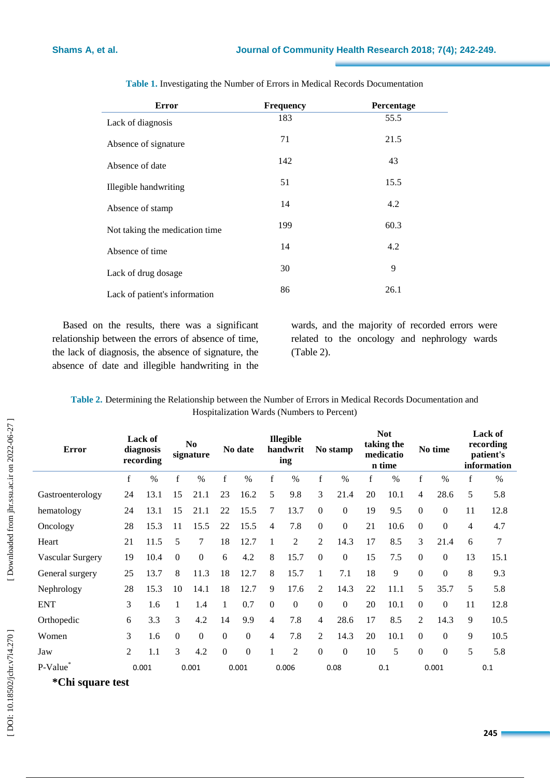| <b>Error</b>                   | <b>Frequency</b> | Percentage |
|--------------------------------|------------------|------------|
| Lack of diagnosis              | 183              | 55.5       |
| Absence of signature           | 71               | 21.5       |
| Absence of date                | 142              | 43         |
| Illegible handwriting          | 51               | 15.5       |
| Absence of stamp               | 14               | 4.2        |
| Not taking the medication time | 199              | 60.3       |
| Absence of time                | 14               | 4.2        |
| Lack of drug dosage            | 30               | 9          |
| Lack of patient's information  | 86               | 26.1       |

**Table 1 .** Investigating the Number of Errors in Medical Records Documentation

Based on the results, there was a significant relationship between the errors of absence of time, the lack of diagnosis, the absence of signature, the absence of date and illegible handwriting in the wards, and the majority of recorded errors were related to the oncology and nephrology wards (Table 2).

**Table 2.** Determining the Relationship between the Number of Errors in Medical Records Documentation and Hospitalization Wards (Numbers to Percent)

| <b>Error</b>         | <b>Lack of</b><br>diagnosis<br>recording |      | N <sub>0</sub><br>signature |          | No date      |                | <b>Illegible</b><br>handwrit<br>ing |                | No stamp         |                  | <b>Not</b><br>taking the<br>medicatio<br>n time |      | No time          |                  | Lack of<br>recording<br>patient's<br>information |      |
|----------------------|------------------------------------------|------|-----------------------------|----------|--------------|----------------|-------------------------------------|----------------|------------------|------------------|-------------------------------------------------|------|------------------|------------------|--------------------------------------------------|------|
|                      | f                                        | $\%$ | f                           | $\%$     | $\mathbf f$  | $\%$           | $\mathbf f$                         | $\%$           | $\mathbf f$      | $\%$             | f                                               | $\%$ | f                | $\%$             | f                                                | $\%$ |
| Gastroenterology     | 24                                       | 13.1 | 15                          | 21.1     | 23           | 16.2           | 5                                   | 9.8            | 3                | 21.4             | 20                                              | 10.1 | 4                | 28.6             | 5                                                | 5.8  |
| hematology           | 24                                       | 13.1 | 15                          | 21.1     | 22           | 15.5           | $\tau$                              | 13.7           | $\mathbf{0}$     | $\mathbf{0}$     | 19                                              | 9.5  | $\boldsymbol{0}$ | $\mathbf{0}$     | 11                                               | 12.8 |
| Oncology             | 28                                       | 15.3 | 11                          | 15.5     | 22           | 15.5           | 4                                   | 7.8            | $\overline{0}$   | $\boldsymbol{0}$ | 21                                              | 10.6 | $\overline{0}$   | $\boldsymbol{0}$ | 4                                                | 4.7  |
| Heart                | 21                                       | 11.5 | 5                           | 7        | 18           | 12.7           | 1                                   | $\overline{2}$ | $\overline{2}$   | 14.3             | 17                                              | 8.5  | 3                | 21.4             | 6                                                | 7    |
| Vascular Surgery     | 19                                       | 10.4 | $\Omega$                    | $\theta$ | 6            | 4.2            | 8                                   | 15.7           | $\Omega$         | $\mathbf{0}$     | 15                                              | 7.5  | $\boldsymbol{0}$ | $\Omega$         | 13                                               | 15.1 |
| General surgery      | 25                                       | 13.7 | 8                           | 11.3     | 18           | 12.7           | 8                                   | 15.7           | 1                | 7.1              | 18                                              | 9    | $\boldsymbol{0}$ | $\boldsymbol{0}$ | 8                                                | 9.3  |
| Nephrology           | 28                                       | 15.3 | 10                          | 14.1     | 18           | 12.7           | 9                                   | 17.6           | 2                | 14.3             | 22                                              | 11.1 | 5                | 35.7             | 5                                                | 5.8  |
| <b>ENT</b>           | 3                                        | 1.6  | 1                           | 1.4      | $\mathbf{1}$ | 0.7            | $\Omega$                            | $\mathbf{0}$   | $\mathbf{0}$     | $\mathbf{0}$     | 20                                              | 10.1 | $\boldsymbol{0}$ | $\Omega$         | 11                                               | 12.8 |
| Orthopedic           | 6                                        | 3.3  | 3                           | 4.2      | 14           | 9.9            | 4                                   | 7.8            | $\overline{4}$   | 28.6             | 17                                              | 8.5  | $\overline{2}$   | 14.3             | 9                                                | 10.5 |
| Women                | 3                                        | 1.6  | $\overline{0}$              | $\theta$ | $\theta$     | $\overline{0}$ | 4                                   | 7.8            | 2                | 14.3             | 20                                              | 10.1 | $\boldsymbol{0}$ | $\boldsymbol{0}$ | 9                                                | 10.5 |
| Jaw                  | $\overline{2}$                           | 1.1  | 3                           | 4.2      | $\theta$     | $\Omega$       |                                     | $\overline{2}$ | $\boldsymbol{0}$ | $\mathbf{0}$     | 10                                              | 5    | $\boldsymbol{0}$ | $\Omega$         | 5                                                | 5.8  |
| P-Value              | 0.001                                    |      | 0.001                       |          | 0.001        |                | 0.006                               |                | 0.08             |                  | 0.1                                             |      | 0.001            |                  | 0.1                                              |      |
| $\sim$ $\sim$ $\sim$ |                                          |      |                             |          |              |                |                                     |                |                  |                  |                                                 |      |                  |                  |                                                  |      |

**\*Chi square test**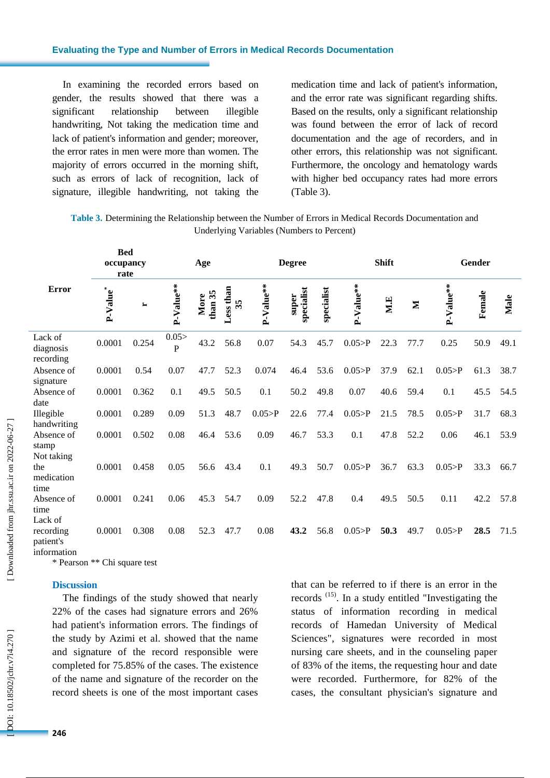#### **Evaluating the Type and Number of Errors in Medical Records Documentation**

In examining the recorded errors based on gender, the results showed that there was a significant relationship between illegible handwriting, Not taking the medication time and lack of patient's information and gender; moreover, the error rates in men were more than women. The majority of errors occurred in the morning shift, such as errors of lack of recognition, lack of signature, illegible handwriting, not taking the

medication time and lack of patient's information, and the error rate was significant regarding shifts. Based on the results, only a significant relationship was found between the error of lack of record documentation and the age of recorders, and in other errors, this relationship was not significant. Furthermore, the oncology and hematology wards with higher bed occupancy rates had more errors (Table 3).

**Table 3.** Determining the Relationship between the Number of Errors in Medical Records Documentation and Underlying Variables (Numbers to Percent)

|                                   | <b>Bed</b><br>occupancy<br>rate |       | Age       |                 |                 | <b>Degree</b> |                     |            |           | <b>Shift</b> |              | Gender    |        |      |
|-----------------------------------|---------------------------------|-------|-----------|-----------------|-----------------|---------------|---------------------|------------|-----------|--------------|--------------|-----------|--------|------|
| <b>Error</b>                      | P-Value <sup>*</sup>            | ∼     | P-Value** | than 35<br>More | Less than<br>35 | P-Value**     | specialist<br>super | specialist | P-Value** | ME           | $\mathbf{z}$ | P-Value** | Female | Male |
| Lack of<br>diagnosis<br>recording | 0.0001                          | 0.254 | 0.05<br>P | 43.2            | 56.8            | 0.07          | 54.3                | 45.7       | 0.05 > P  | 22.3         | 77.7         | 0.25      | 50.9   | 49.1 |
| Absence of                        | 0.0001                          | 0.54  | 0.07      | 47.7            | 52.3            | 0.074         | 46.4                | 53.6       | 0.05 > P  | 37.9         | 62.1         | 0.05 > P  | 61.3   | 38.7 |
| signature<br>Absence of<br>date   | 0.0001                          | 0.362 | 0.1       | 49.5            | 50.5            | 0.1           | 50.2                | 49.8       | 0.07      | 40.6         | 59.4         | 0.1       | 45.5   | 54.5 |
| Illegible<br>handwriting          | 0.0001                          | 0.289 | 0.09      | 51.3            | 48.7            | 0.05 > P      | 22.6                | 77.4       | 0.05 > P  | 21.5         | 78.5         | 0.05 > P  | 31.7   | 68.3 |
| Absence of<br>stamp               | 0.0001                          | 0.502 | 0.08      | 46.4            | 53.6            | 0.09          | 46.7                | 53.3       | 0.1       | 47.8         | 52.2         | 0.06      | 46.1   | 53.9 |
| Not taking<br>the<br>medication   | 0.0001                          | 0.458 | 0.05      | 56.6            | 43.4            | 0.1           | 49.3                | 50.7       | 0.05 > P  | 36.7         | 63.3         | 0.05 > P  | 33.3   | 66.7 |
| time<br>Absence of<br>time        | 0.0001                          | 0.241 | 0.06      | 45.3            | 54.7            | 0.09          | 52.2                | 47.8       | 0.4       | 49.5         | 50.5         | 0.11      | 42.2   | 57.8 |
| Lack of<br>recording<br>patient's | 0.0001                          | 0.308 | 0.08      | 52.3            | 47.7            | 0.08          | 43.2                | 56.8       | 0.05 > P  | 50.3         | 49.7         | 0.05 > P  | 28.5   | 71.5 |

information

\* Pearson \*\* Chi square test

### **Discussion**

The findings of the study showed that nearly 22% of the cases had signature errors and 26% had patient's information errors. The findings of the study by Azimi et al. showed that the name and signature of the record responsible were completed for 75.85% of the cases. The existence of the name and signature of the recorder on the record sheets is one of the most important cases that can be referred to if there is an error in the records  $(15)$ . In a study entitled "Investigating the status of information recording in medical records of Hamedan University of Medical Sciences", signatures were recorded in most nursing care sheets, and in the counseling paper of 83% of the items, the requesting hour and date were recorded. Furthermore, for 82% of the cases, the consultant physician's signature and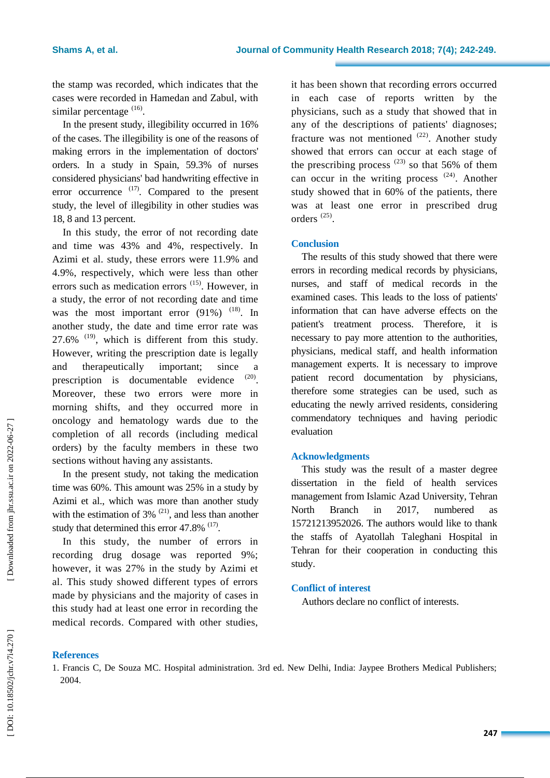the stamp was recorded, which indicates that the cases were recorded in Hamedan and Zabul, with similar percentage  $(16)$ .

In the present study, illegibility occurred in 16% of the cases. The illegibility is one of the reasons of making errors in the implementation of doctors' orders. In a study in Spain, 59.3% of nurses considered physicians' bad handwriting effective in error occurrence  $(17)$ . Compared to the present study, the level of illegibility in other studies was 18, 8 and 13 percent.

In this study, the error of not recording date and time was 43% and 4%, respectively. In Azimi et al. study, these errors were 11.9% and 4.9%, respectively, which were less than other errors such as medication errors  $(15)$ . However, in a study, the error of not recording date and time was the most important error  $(91\%)$ <sup> $(18)$ </sup>. In another study, the date and time error rate was 27.6%  $(19)$ , which is different from this study. However, writing the prescription date is legally and therapeutically important; since a prescription is documentable evidence . Moreover, these two errors were more in morning shifts, and they occurred more in oncology and hematology wards due to the completion of all records (including medical orders) by the faculty members in these two sections without having any assistants.

In the present study, not taking the medication time was 60%. This amount was 25% in a study by Azimi et al., which was more than another study with the estimation of  $3\%$ <sup>(21)</sup>, and less than another study that determined this error  $47.8\%$ <sup> $(17)$ </sup>.

In this study, the number of errors in recording drug dosage was reported 9%; however, it was 27% in the study by Azimi et al. This study showed different types of errors made by physicians and the majority of cases in this study had at least one error in recording the medical records. Compared with other studies,

it has been shown that recording errors occurred in each case of reports written by the physicians, such as a study that showed that in any of the descriptions of patients' diagnoses; fracture was not mentioned  $(22)$ . Another study showed that errors can occur at each stage of the prescribing process  $^{(23)}$  so that 56% of them can occur in the writing process  $(24)$ . Another study showed that in 60% of the patients, there was at least one error in prescribed drug orders (25) .

### **Conclusion**

The results of this study showed that there were errors in recording medical records by physicians, nurses, and staff of medical records in the examined cases. This leads to the loss of patients' information that can have adverse effects on the patient's treatment process. Therefore, it is necessary to pay more attention to the authorities, physicians, medical staff, and health information management experts. It is necessary to improve patient record documentation by physicians, therefore some strategies can be used, such as educating the newly arrived residents, considering commendatory techniques and having periodic evaluation

### **Acknowledgments**

This study was the result of a master degree dissertation in the field of health services management from Islamic Azad University, Tehran North Branch in 2017, numbered as 15721213952026. The authors would like to thank the staffs of Ayatollah Taleghani Hospital in Tehran for their cooperation in conducting this study.

### **Conflict of interest**

Authors declare no conflict of interests.

### **References**

<sup>1.</sup> Francis C, De Souza MC. Hospital administration. 3rd ed. New Delhi, India: Jaypee Brothers Medical Publishers; 2004.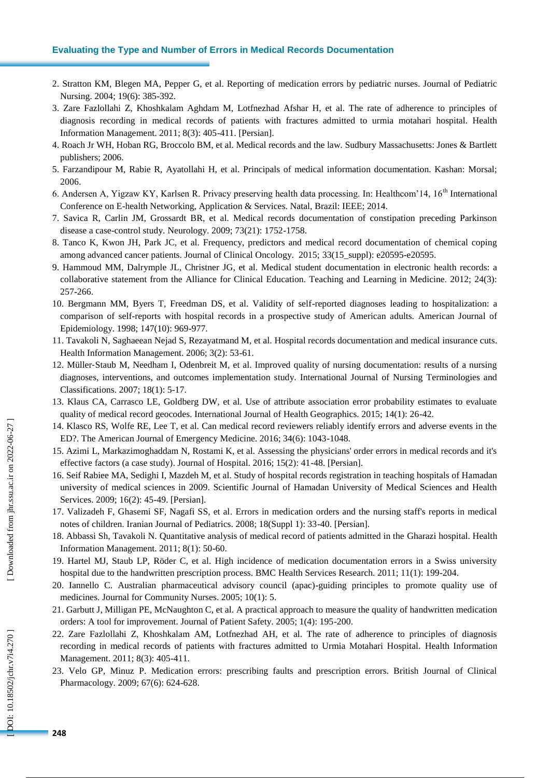### **Evaluating the Type and Number of Errors in Medical Records Documentation**

- 2. Stratton KM, Blegen MA, Pepper G, et al. Reporting of medication errors by pediatric nurses. Journal of Pediatric Nursing. 2004; 19(6): 385 -392.
- 3. Zare Fazlollahi Z, Khoshkalam Aghdam M, Lotfnezhad Afshar H, et al. The rate of adherence to principles of diagnosis recording in medical records of patients with fractures admitted to urmia motahari hospital. Health Information Management. 2011; 8(3): 405 -411. [Persian].
- 4. Roach Jr WH, Hoban RG, Broccolo BM, et al. Medical records and the law. Sudbury Massachusetts: Jones & Bartlett publishers; 2006.
- 5. Farzandipour M, Rabie R, Ayatollahi H, et al. Principals of medical information documentation. Kashan: Morsal; 2006.
- 6. Andersen A, Yigzaw KY, Karlsen R. Privacy preserving health data processing. In: Healthcom'14, 16<sup>th</sup> International Conference on E -health Networking, Application & Services. Natal, Brazil: IEEE; 2014.
- 7. Savica R, Carlin JM, Grossardt BR, et al. Medical records documentation of constipation preceding Parkinson disease a case -control study. Neurology. 2009; 73(21): 1752 -1758.
- 8. Tanco K, Kwon JH, Park JC, et al. Frequency, predictors and medical record documentation of chemical coping among advanced cancer patients. Journal of Clinical Oncology. 2015; 33(15\_suppl): e20595-e20595.
- 9. Hammoud MM, Dalrymple JL, Christner JG, et al. Medical student documentation in electronic health records: a collaborative statement from the Alliance for Clinical Education. Teaching and Learning in Medicine. 2012; 24(3): 257 -266.
- 10. Bergmann MM, Byers T, Freedman DS, et al. Validity of self -reported diagnoses leading to hospitalization: a comparison of self-reports with hospital records in a prospective study of American adults. American Journal of Epidemiology. 1998; 147(10): 969 -977.
- 11. Tavakoli N, Saghaeean Nejad S, Rezayatmand M, et al. Hospital records documentation and medical insurance cuts. Health Information Management. 2006; 3(2): 53 -61.
- 12. Müller ‐Staub M, Needham I, Odenbreit M, et al. Improved quality of nursing documentation: results of a nursing diagnoses, interventions, and outcomes implementation study. International Journal of Nursing Terminologies and Classifications. 2007; 18(1): 5 -17.
- 13. Klaus CA, Carrasco LE, Goldberg DW, et al. Use of attribute association error probability estimates to evaluate quality of medical record geocodes. International Journal of Health Geographics. 2015; 14(1): 26 -42.
- 14. Klasco RS, Wolfe RE, Lee T, et al. Can medical record reviewers reliably identify errors and adverse events in the ED?. The American Journal of Emergency Medicine. 2016; 34(6): 1043 -1048.
- 15. Azimi L, Markazimoghaddam N, Rostami K, et al. Assessing the physicians' order errors in medical records and it's effective factors (a case study). Journal of Hospital. 2016; 15(2): 41 -48. [Persian].
- 16. Seif Rabiee MA, Sedighi I, Mazdeh M, et al. Study of hospital records registration in teaching hospitals of Hamadan university of medical sciences in 2009. Scientific Journal of Hamadan University of Medical Sciences and Health Services. 2009; 16(2): 45 -49. [Persian].
- 17. Valizadeh F, Ghasemi SF, Nagafi SS, et al. Errors in medication orders and the nursing staff's reports in medical notes of children. Iranian Journal of Pediatrics. 2008; 18(Suppl 1): 33 -40. [Persian].
- 18. Abbassi Sh, Tavakoli N. Quantitative analysis of medical record of patients admitted in the Gharazi hospital. Health Information Management. 2011; 8(1): 50 -60.
- 19. Hartel MJ, Staub LP, Röder C, et al. High incidence of medication documentation errors in a Swiss university hospital due to the handwritten prescription process. BMC Health Services Research. 2011; 11(1): 199-204.
- 20. Iannello C. Australian pharmaceutical advisory council (apac) -guiding principles to promote quality use of medicines. Journal for Community Nurses. 2005; 10(1): 5.
- 21. Garbutt J, Milligan PE, McNaughton C, et al. A practical approach to measure the quality of handwritten medication orders: A tool for improvement. Journal of Patient Safety. 2005; 1(4): 195 -200.
- 22. Zare Fazlollahi Z, Khoshkalam AM, Lotfnezhad AH, et al. The rate of adherence to principles of diagnosis recording in medical records of patients with fractures admitted to Urmia Motahari Hospital. [Health Information](https://www.sid.ir/en/journal/JournalList.aspx?ID=8003)  [Management.](https://www.sid.ir/en/journal/JournalList.aspx?ID=8003) 2011; 8(3): 405 -411.
- 23. Velo GP, Minuz P. Medication errors: prescribing faults and prescription errors. British Journal of Clinical Pharmacology. 2009; 67(6): 624-628.